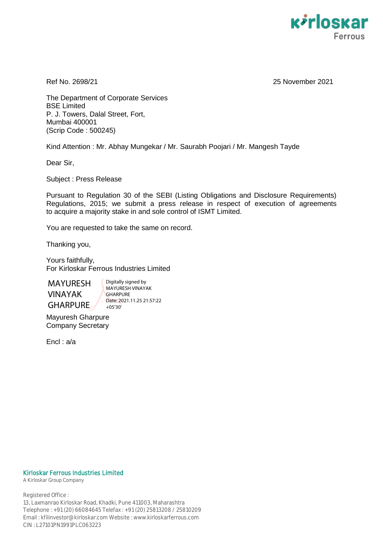

Ref No. 2698/21 25 November 2021

The Department of Corporate Services BSE Limited P. J. Towers, Dalal Street, Fort, Mumbai 400001 (Scrip Code : 500245)

Kind Attention : Mr. Abhay Mungekar / Mr. Saurabh Poojari / Mr. Mangesh Tayde

Dear Sir,

Subject : Press Release

Pursuant to Regulation 30 of the SEBI (Listing Obligations and Disclosure Requirements) Regulations, 2015; we submit a press release in respect of execution of agreements to acquire a majority stake in and sole control of ISMT Limited.

You are requested to take the same on record.

Thanking you,

Yours faithfully, For Kirloskar Ferrous Industries Limited

MAYURESH VINAYAK GHARPURE

Digitally signed by MAYURESH VINAYAK **GHARPURE** Date: 2021.11.25 21:57:22 +05'30'

Mayuresh Gharpure Company Secretary

Encl : a/a

#### Kirloskar Ferrous Industries Limited

A Kirloskar Group Company

Registered Office : 13, Laxmanrao Kirloskar Road, Khadki, Pune 411003, Maharashtra Telephone : +91 (20) 66084645 Telefax : +91 (20) 25813208 / 25810209 Email : kfilinvestor@kirloskar.com Website : www.kirloskarferrous.com CIN : L27101PN1991PLC063223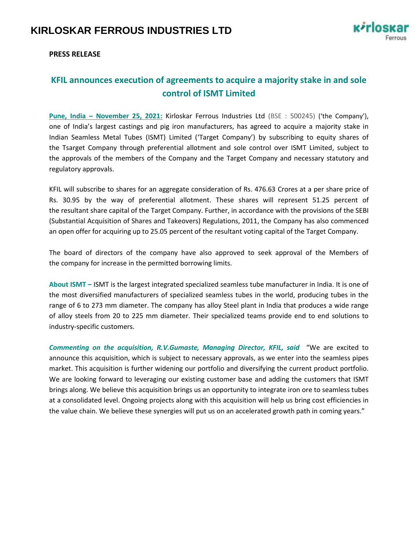

### **PRESS RELEASE**

## **KFIL announces execution of agreements to acquire a majority stake in and sole control of ISMT Limited**

**Pune, India – November 25, 2021:** Kirloskar Ferrous Industries Ltd (BSE : 500245) ('the Company'), one of India's largest castings and pig iron manufacturers, has agreed to acquire a majority stake in Indian Seamless Metal Tubes (ISMT) Limited ('Target Company') by subscribing to equity shares of the Tsarget Company through preferential allotment and sole control over ISMT Limited, subject to the approvals of the members of the Company and the Target Company and necessary statutory and regulatory approvals.

KFIL will subscribe to shares for an aggregate consideration of Rs. 476.63 Crores at a per share price of Rs. 30.95 by the way of preferential allotment. These shares will represent 51.25 percent of the resultant share capital of the Target Company. Further, in accordance with the provisions of the SEBI (Substantial Acquisition of Shares and Takeovers) Regulations, 2011, the Company has also commenced an open offer for acquiring up to 25.05 percent of the resultant voting capital of the Target Company.

The board of directors of the company have also approved to seek approval of the Members of the company for increase in the permitted borrowing limits.

**About ISMT –** ISMT is the largest integrated specialized seamless tube manufacturer in India. It is one of the most diversified manufacturers of specialized seamless tubes in the world, producing tubes in the range of 6 to 273 mm diameter. The company has alloy Steel plant in India that produces a wide range of alloy steels from 20 to 225 mm diameter. Their specialized teams provide end to end solutions to industry-specific customers.

*Commenting on the acquisition, R.V.Gumaste, Managing Director, KFIL, said* "We are excited to announce this acquisition, which is subject to necessary approvals, as we enter into the seamless pipes market. This acquisition is further widening our portfolio and diversifying the current product portfolio. We are looking forward to leveraging our existing customer base and adding the customers that ISMT brings along. We believe this acquisition brings us an opportunity to integrate iron ore to seamless tubes at a consolidated level. Ongoing projects along with this acquisition will help us bring cost efficiencies in the value chain. We believe these synergies will put us on an accelerated growth path in coming years."